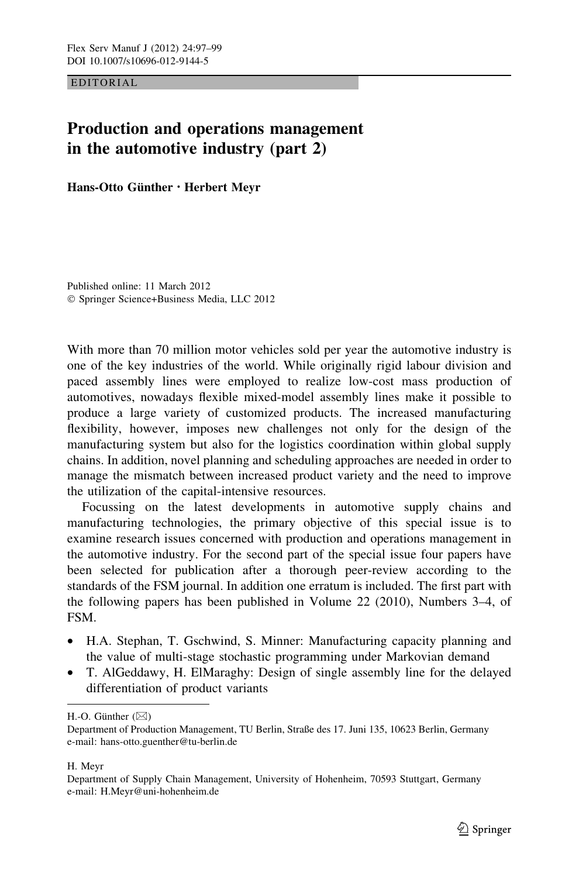EDITORIAL

## Production and operations management in the automotive industry (part 2)

Hans-Otto Günther · Herbert Meyr

Published online: 11 March 2012 - Springer Science+Business Media, LLC 2012

With more than 70 million motor vehicles sold per year the automotive industry is one of the key industries of the world. While originally rigid labour division and paced assembly lines were employed to realize low-cost mass production of automotives, nowadays flexible mixed-model assembly lines make it possible to produce a large variety of customized products. The increased manufacturing flexibility, however, imposes new challenges not only for the design of the manufacturing system but also for the logistics coordination within global supply chains. In addition, novel planning and scheduling approaches are needed in order to manage the mismatch between increased product variety and the need to improve the utilization of the capital-intensive resources.

Focussing on the latest developments in automotive supply chains and manufacturing technologies, the primary objective of this special issue is to examine research issues concerned with production and operations management in the automotive industry. For the second part of the special issue four papers have been selected for publication after a thorough peer-review according to the standards of the FSM journal. In addition one erratum is included. The first part with the following papers has been published in Volume 22 (2010), Numbers 3–4, of FSM.

- H.A. Stephan, T. Gschwind, S. Minner: Manufacturing capacity planning and the value of multi-stage stochastic programming under Markovian demand
- T. AlGeddawy, H. ElMaraghy: Design of single assembly line for the delayed differentiation of product variants

H.-O. Günther  $(\boxtimes)$ 

## H. Meyr

Department of Production Management, TU Berlin, Straße des 17. Juni 135, 10623 Berlin, Germany e-mail: hans-otto.guenther@tu-berlin.de

Department of Supply Chain Management, University of Hohenheim, 70593 Stuttgart, Germany e-mail: H.Meyr@uni-hohenheim.de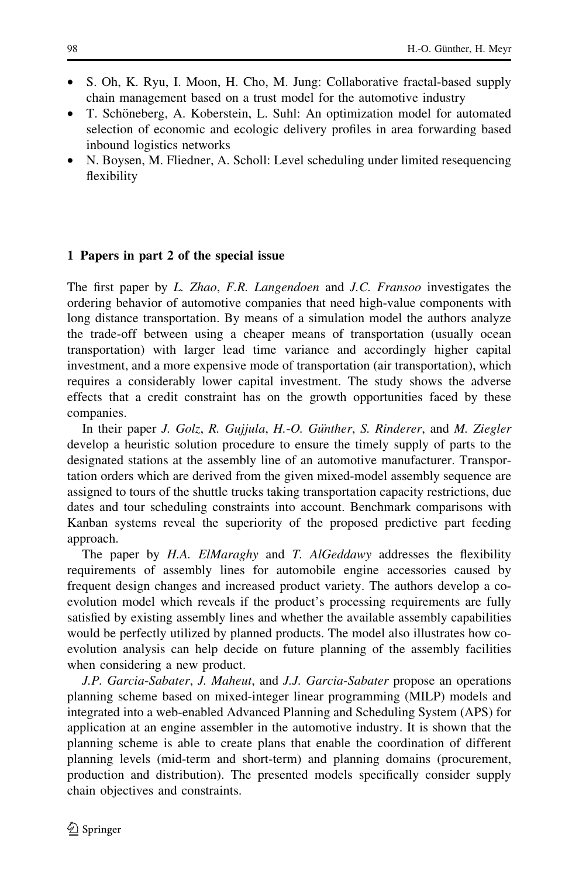- S. Oh, K. Ryu, I. Moon, H. Cho, M. Jung: Collaborative fractal-based supply chain management based on a trust model for the automotive industry
- T. Schöneberg, A. Koberstein, L. Suhl: An optimization model for automated selection of economic and ecologic delivery profiles in area forwarding based inbound logistics networks
- N. Boysen, M. Fliedner, A. Scholl: Level scheduling under limited resequencing flexibility

## 1 Papers in part 2 of the special issue

The first paper by L. Zhao, F.R. Langendoen and J.C. Fransoo investigates the ordering behavior of automotive companies that need high-value components with long distance transportation. By means of a simulation model the authors analyze the trade-off between using a cheaper means of transportation (usually ocean transportation) with larger lead time variance and accordingly higher capital investment, and a more expensive mode of transportation (air transportation), which requires a considerably lower capital investment. The study shows the adverse effects that a credit constraint has on the growth opportunities faced by these companies.

In their paper J. Golz, R. Gujjula, H.-O. Günther, S. Rinderer, and M. Ziegler develop a heuristic solution procedure to ensure the timely supply of parts to the designated stations at the assembly line of an automotive manufacturer. Transportation orders which are derived from the given mixed-model assembly sequence are assigned to tours of the shuttle trucks taking transportation capacity restrictions, due dates and tour scheduling constraints into account. Benchmark comparisons with Kanban systems reveal the superiority of the proposed predictive part feeding approach.

The paper by H.A. ElMaraghy and T. AlGeddawy addresses the flexibility requirements of assembly lines for automobile engine accessories caused by frequent design changes and increased product variety. The authors develop a coevolution model which reveals if the product's processing requirements are fully satisfied by existing assembly lines and whether the available assembly capabilities would be perfectly utilized by planned products. The model also illustrates how coevolution analysis can help decide on future planning of the assembly facilities when considering a new product.

J.P. Garcia-Sabater, J. Maheut, and J.J. Garcia-Sabater propose an operations planning scheme based on mixed-integer linear programming (MILP) models and integrated into a web-enabled Advanced Planning and Scheduling System (APS) for application at an engine assembler in the automotive industry. It is shown that the planning scheme is able to create plans that enable the coordination of different planning levels (mid-term and short-term) and planning domains (procurement, production and distribution). The presented models specifically consider supply chain objectives and constraints.